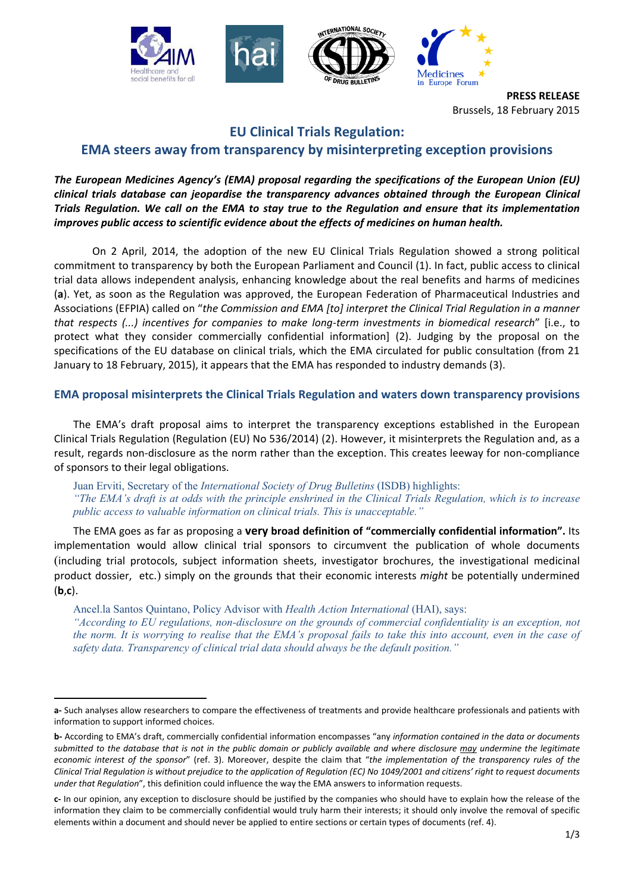

**PRESS RELEASE** Brussels, 18 February 2015

# **EU Clinical Trials Regulation: EMA steers away from transparency by misinterpreting exception provisions**

## *The European Medicines Agency's (EMA) proposal regarding the specifications of the European Union (EU) clinical trials database can jeopardise the transparency advances obtained through the European Clinical Trials Regulation. We call on the EMA to stay true to the Regulation and ensure that its implementation improves public access to scientific evidence about the effects of medicines on human health.*

 On 2 April, 2014, the adoption of the new EU Clinical Trials Regulation showed a strong political commitment to transparency by both the European Parliament and Council (1). In fact, public access to clinical trial data allows independent analysis, enhancing knowledge about the real benefits and harms of medicines (**a**). Yet, as soon as the Regulation was approved, the European Federation of Pharmaceutical Industries and Associations (EFPIA) called on "*the Commission and EMA [to] interpret the Clinical Trial Regulation in a manner that respects (...) incentives for companies to make long-term investments in biomedical research*" [i.e., to protect what they consider commercially confidential information] (2). Judging by the proposal on the specifications of the EU database on clinical trials, which the EMA circulated for public consultation (from 21 January to 18 February, 2015), it appears that the EMA has responded to industry demands (3).

## **EMA proposal misinterprets the Clinical Trials Regulation and waters down transparency provisions**

The EMA's draft proposal aims to interpret the transparency exceptions established in the European Clinical Trials Regulation (Regulation (EU) No 536/2014) (2). However, it misinterprets the Regulation and, as a result, regards non-disclosure as the norm rather than the exception. This creates leeway for non-compliance of sponsors to their legal obligations.

Juan Erviti, Secretary of the *International Society of Drug Bulletins* (ISDB) highlights: *"The EMA's draft is at odds with the principle enshrined in the Clinical Trials Regulation, which is to increase public access to valuable information on clinical trials. This is unacceptable."* 

The EMA goes as far as proposing a **very broad definition of "commercially confidential information".** Its implementation would allow clinical trial sponsors to circumvent the publication of whole documents (including trial protocols, subject information sheets, investigator brochures, the investigational medicinal product dossier, etc.) simply on the grounds that their economic interests *might* be potentially undermined (**b**,**c**).

Ancel.la Santos Quintano, Policy Advisor with *Health Action International* (HAI), says:

 $\overline{a}$ 

*"According to EU regulations, non-disclosure on the grounds of commercial confidentiality is an exception, not the norm. It is worrying to realise that the EMA's proposal fails to take this into account, even in the case of safety data. Transparency of clinical trial data should always be the default position."* 

**a-** Such analyses allow researchers to compare the effectiveness of treatments and provide healthcare professionals and patients with information to support informed choices.

**b-** According to EMA's draft, commercially confidential information encompasses "any *information contained in the data or documents submitted to the database that is not in the public domain or publicly available and where disclosure may undermine the legitimate economic interest of the sponsor*" (ref. 3). Moreover, despite the claim that "*the implementation of the transparency rules of the Clinical Trial Regulation is without prejudice to the application of Regulation (EC) No 1049/2001 and citizens' right to request documents under that Regulation*", this definition could influence the way the EMA answers to information requests.

**c-** In our opinion, any exception to disclosure should be justified by the companies who should have to explain how the release of the information they claim to be commercially confidential would truly harm their interests; it should only involve the removal of specific elements within a document and should never be applied to entire sections or certain types of documents (ref. 4).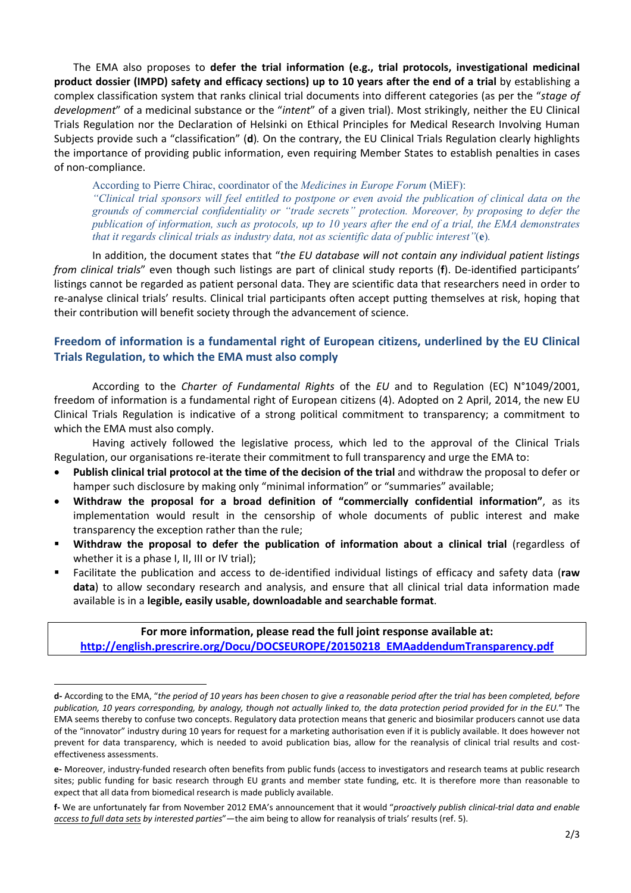The EMA also proposes to **defer the trial information (e.g., trial protocols, investigational medicinal product dossier (IMPD) safety and efficacy sections) up to 10 years after the end of a trial** by establishing a complex classification system that ranks clinical trial documents into different categories (as per the "*stage of development*" of a medicinal substance or the "*intent*" of a given trial). Most strikingly, neither the EU Clinical Trials Regulation nor the Declaration of Helsinki on Ethical Principles for Medical Research Involving Human Subjects provide such a "classification" (**d**)*.* On the contrary, the EU Clinical Trials Regulation clearly highlights the importance of providing public information, even requiring Member States to establish penalties in cases of non-compliance.

According to Pierre Chirac, coordinator of the *Medicines in Europe Forum* (MiEF): *"Clinical trial sponsors will feel entitled to postpone or even avoid the publication of clinical data on the grounds of commercial confidentiality or "trade secrets" protection. Moreover, by proposing to defer the publication of information, such as protocols, up to 10 years after the end of a trial, the EMA demonstrates that it regards clinical trials as industry data, not as scientific data of public interest"*(**e**)*.*

In addition, the document states that "*the EU database will not contain any individual patient listings from clinical trials*" even though such listings are part of clinical study reports (**f**). De-identified participants' listings cannot be regarded as patient personal data. They are scientific data that researchers need in order to re-analyse clinical trials' results. Clinical trial participants often accept putting themselves at risk, hoping that their contribution will benefit society through the advancement of science.

# **Freedom of information is a fundamental right of European citizens, underlined by the EU Clinical Trials Regulation, to which the EMA must also comply**

According to the *Charter of Fundamental Rights* of the *EU* and to Regulation (EC) N°1049/2001, freedom of information is a fundamental right of European citizens (4). Adopted on 2 April, 2014, the new EU Clinical Trials Regulation is indicative of a strong political commitment to transparency; a commitment to which the EMA must also comply.

Having actively followed the legislative process, which led to the approval of the Clinical Trials Regulation, our organisations re-iterate their commitment to full transparency and urge the EMA to:

- **Publish clinical trial protocol at the time of the decision of the trial** and withdraw the proposal to defer or hamper such disclosure by making only "minimal information" or "summaries" available;
- **Withdraw the proposal for a broad definition of "commercially confidential information"**, as its implementation would result in the censorship of whole documents of public interest and make transparency the exception rather than the rule;
- **Withdraw the proposal to defer the publication of information about a clinical trial** (regardless of whether it is a phase I, II, III or IV trial);
- Facilitate the publication and access to de-identified individual listings of efficacy and safety data (**raw data**) to allow secondary research and analysis, and ensure that all clinical trial data information made available is in a **legible, easily usable, downloadable and searchable format**.

**For more information, please read the full joint response available at: http://english.prescrire.org/Docu/DOCSEUROPE/20150218\_EMAaddendumTransparency.pdf**

 $\overline{a}$ 

**d-** According to the EMA, "*the period of 10 years has been chosen to give a reasonable period after the trial has been completed, before publication, 10 years corresponding, by analogy, though not actually linked to, the data protection period provided for in the EU.*" The EMA seems thereby to confuse two concepts. Regulatory data protection means that generic and biosimilar producers cannot use data of the "innovator" industry during 10 years for request for a marketing authorisation even if it is publicly available. It does however not prevent for data transparency, which is needed to avoid publication bias, allow for the reanalysis of clinical trial results and costeffectiveness assessments.

**e-** Moreover, industry-funded research often benefits from public funds (access to investigators and research teams at public research sites; public funding for basic research through EU grants and member state funding, etc. It is therefore more than reasonable to expect that all data from biomedical research is made publicly available.

**f-** We are unfortunately far from November 2012 EMA's announcement that it would "*proactively publish clinical-trial data and enable access to full data sets by interested parties*"—the aim being to allow for reanalysis of trials' results (ref. 5).